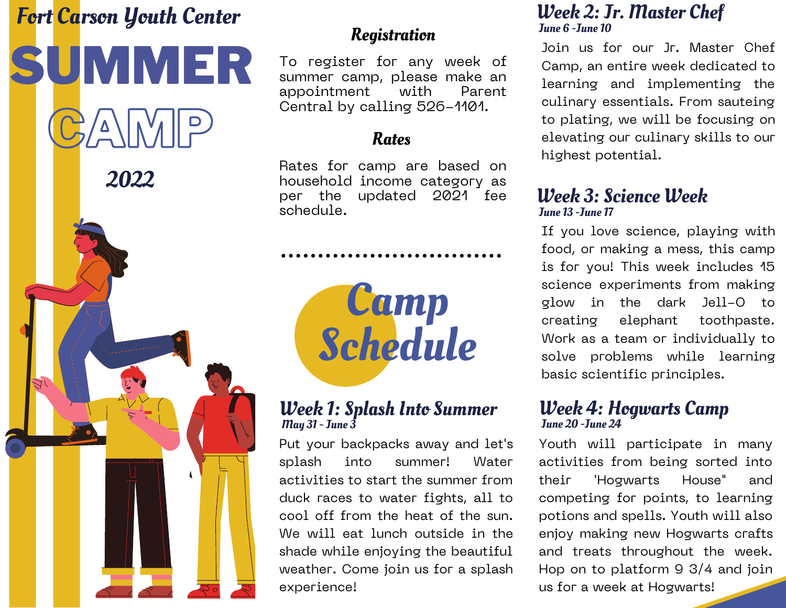# Fort Carson Youth Center



# **Registration**

To register for any week of summer camp, please make an<br>appointment with Parent appointment with Parent Central by calling 526-1101.

## Rates

Rates for camp are based on household income category as<br>per the updated 2021 fee updated 2021 fee schedule.



## Week 1: Splash Into Summer May 31 - June 3

Put your backpacks away and let's splash into summer! Water activities to start the summer from duck races to water fights, all to cool off from the heat of the sun. We will eat lunch outside in the shade while enjoying the beautiful weather. Come join us for a splash experience!

## Week 2: Jr. Master Chef June 6 -June 10

Join us for our Jr. Master Chef Camp, an entire week dedicated to learning and implementing the culinary essentials. From sauteing to plating, we will be focusing on elevating our culinary skills to our highest potential.

## Week 3: Science Week June 13 -June 17

If you love science, playing with food, or making a mess, this camp is for you! This week includes 15 science experiments from making glow in the dark Jell-O to creating elephant toothpaste. Work as a team or individually to solve problems while learning basic scientific principles.

#### Week 4: Hogwarts Camp June 20 -June 24

Youth will participate in many activities from being sorted into their 'Hogwarts House" and competing for points, to learning potions and spells. Youth will also enjoy making new Hogwarts crafts and treats throughout the week. Hop on to platform 9 3/4 and join us for a week at Hogwarts!